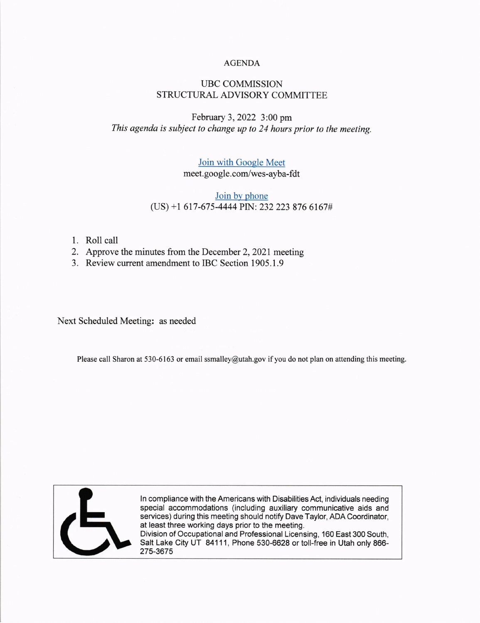#### AGENDA

# UBC COMMISSION STRUCTURAL ADVISORY COMMITTEE

# February 3,2022 3:00 pm This agenda is subject to change up to 24 hours prior to the meeting.

# Join with Google Meet meet.google.com/wes-ayba-fdt

## Join by phone (US) +1 617-675-4444 PIN: 232 223 876 6167#

- 1. Roll call
- 2. Approve the minutes from the December2,202l meeting
- 3. Review current amendment to IBC Section 1905.1.9

Next Scheduled Meeting: as needed

Please call Sharon at 530-6163 or email ssmalley@utah.gov if you do not plan on attending this meeting.



ln compliance with the Americans with Disabilities Act, individuals needing special accommodations (including auxiliary communicative aids and services) during this meeting should notify Dave Taylor, ADA Coordinator, at least three working days prior to the meeting. Division of Occupational and Professional Licensing, 160 East 300 South,

Salt Lake City UT 84111, Phone 530-6628 or toll-free in Utah only 866- 275-3675